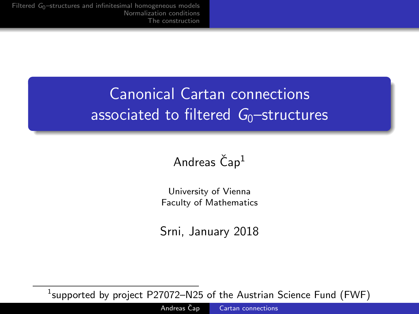# <span id="page-0-0"></span>Canonical Cartan connections associated to filtered  $G_0$ -structures

### Andreas  $\check{C}$ ap<sup>1</sup>

University of Vienna Faculty of Mathematics

Srni, January 2018

 $^1$ supported by project <code>P27072–N25</code> of the Austrian Science Fund (FWF)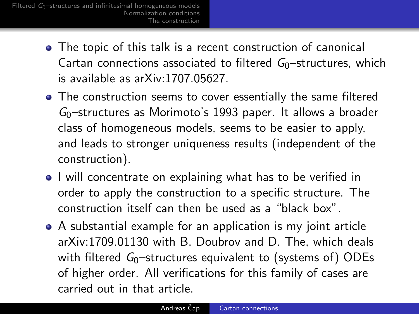- The topic of this talk is a recent construction of canonical Cartan connections associated to filtered  $G_0$ -structures, which is available as arXiv:1707.05627.
- The construction seems to cover essentially the same filtered  $G<sub>0</sub>$ -structures as Morimoto's 1993 paper. It allows a broader class of homogeneous models, seems to be easier to apply, and leads to stronger uniqueness results (independent of the construction).
- I will concentrate on explaining what has to be verified in order to apply the construction to a specific structure. The construction itself can then be used as a "black box".
- A substantial example for an application is my joint article arXiv:1709.01130 with B. Doubrov and D. The, which deals with filtered  $G_0$ -structures equivalent to (systems of) ODEs of higher order. All verifications for this family of cases are carried out in that article.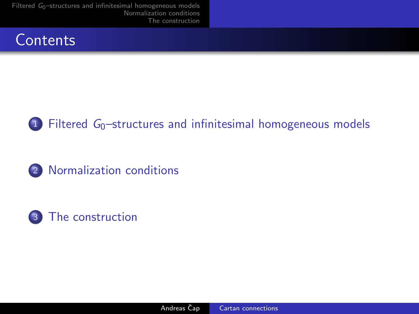





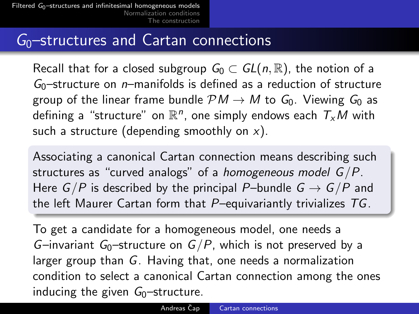### <span id="page-3-0"></span> $G<sub>0</sub>$ -structures and Cartan connections

Recall that for a closed subgroup  $G_0 \subset GL(n,\mathbb{R})$ , the notion of a  $G<sub>0</sub>$ -structure on *n*-manifolds is defined as a reduction of structure group of the linear frame bundle  $\mathcal{P}M \to M$  to  $G_0$ . Viewing  $G_0$  as defining a "structure" on  $\mathbb{R}^n$ , one simply endows each  $\mathcal{T}_\mathsf{x} \mathsf{M}$  with such a structure (depending smoothly on  $x$ ).

Associating a canonical Cartan connection means describing such structures as "curved analogs" of a *homogeneous model*  $G/P$ *.* Here  $G/P$  is described by the principal P–bundle  $G \rightarrow G/P$  and the left Maurer Cartan form that  $P$ –equivariantly trivializes  $TG$ .

To get a candidate for a homogeneous model, one needs a G–invariant G<sub>0</sub>–structure on  $G/P$ , which is not preserved by a larger group than G. Having that, one needs a normalization condition to select a canonical Cartan connection among the ones inducing the given  $G_0$ -structure.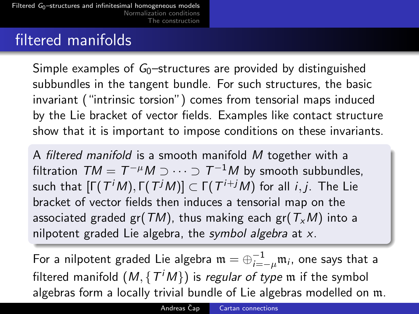## filtered manifolds

Simple examples of  $G_0$ -structures are provided by distinguished subbundles in the tangent bundle. For such structures, the basic invariant ("intrinsic torsion") comes from tensorial maps induced by the Lie bracket of vector fields. Examples like contact structure show that it is important to impose conditions on these invariants.

A filtered manifold is a smooth manifold M together with a filtration  $\mathit{TM} = \mathit{T}^{-\mu}M \supset \cdots \supset \mathit{T}^{-1}M$  by smooth subbundles, such that  $[\Gamma(\,T^iM),\Gamma(\,T^jM)]\subset \Gamma(\,T^{i+j}M)$  for all  $i,j$ . The Lie bracket of vector fields then induces a tensorial map on the associated graded gr(TM), thus making each gr( $T_xM$ ) into a nilpotent graded Lie algebra, the symbol algebra at  $x$ .

For a nilpotent graded Lie algebra  $\mathfrak{m}=\oplus_{i=-\mu}^{-1}\mathfrak{m}_i$ , one says that a filtered manifold  $(M, \{T^iM\})$  is *regular of type*  ${\mathfrak m}$  if the symbol algebras form a locally trivial bundle of Lie algebras modelled on m.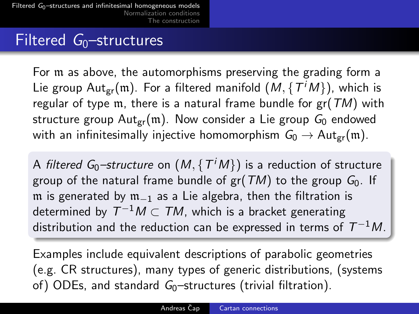### Filtered  $G_0$ -structures

For m as above, the automorphisms preserving the grading form a Lie group Aut $_{\rm gr}(\mathfrak{m}).$  For a filtered manifold  $(\mathcal{M},\{\mathcal{T}^i\mathcal{M}\})$ , which is regular of type m, there is a natural frame bundle for  $gr(TM)$  with structure group  $Aut_{gr}(m)$ . Now consider a Lie group  $G_0$  endowed with an infinitesimally injective homomorphism  $G_0 \to \text{Aut}_{gr}(\mathfrak{m})$ .

A *filtered G*0–structure on  $(M, \{\,T^iM\})$  is a reduction of structure group of the natural frame bundle of  $gr(TM)$  to the group  $G_0$ . If m is generated by m<sub>−1</sub> as a Lie algebra, then the filtration is determined by  $\mathcal{T}^{-1}M\subset \mathcal{T}M$ , which is a bracket generating distribution and the reduction can be expressed in terms of  $\, T^{-1}M_{\cdot}$ 

Examples include equivalent descriptions of parabolic geometries (e.g. CR structures), many types of generic distributions, (systems of) ODEs, and standard  $G_0$ -structures (trivial filtration).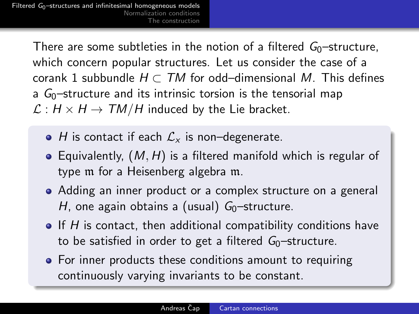> There are some subtleties in the notion of a filtered  $G_0$ -structure, which concern popular structures. Let us consider the case of a corank 1 subbundle  $H \subset TM$  for odd–dimensional M. This defines a  $G_0$ -structure and its intrinsic torsion is the tensorial map  $\mathcal{L}: H \times H \rightarrow TM/H$  induced by the Lie bracket.

- $\bullet$  H is contact if each  $\mathcal{L}_{x}$  is non–degenerate.
- Equivalently,  $(M, H)$  is a filtered manifold which is regular of type m for a Heisenberg algebra m.
- Adding an inner product or a complex structure on a general H, one again obtains a (usual)  $G_0$ -structure.
- $\bullet$  If H is contact, then additional compatibility conditions have to be satisfied in order to get a filtered  $G_0$ -structure.
- For inner products these conditions amount to requiring continuously varying invariants to be constant.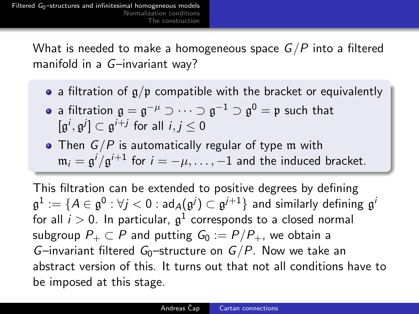What is needed to make a homogeneous space  $G/P$  into a filtered manifold in a G–invariant way?

- a filtration of  $g/p$  compatible with the bracket or equivalently
- a filtration  $\mathfrak{g}=\mathfrak{g}^{-\mu}\supset\cdots\supset\mathfrak{g}^{-1}\supset\mathfrak{g}^0=\mathfrak{p}$  such that  $[\mathfrak{g}^i,\mathfrak{g}^j]\subset \mathfrak{g}^{i+j}$  for all  $i,j\leq 0$
- $\bullet$  Then  $G/P$  is automatically regular of type m with  $\mathfrak{m}_i = \mathfrak{g}^i / \mathfrak{g}^{i+1}$  for  $i = -\mu, \ldots, -1$  and the induced bracket.

This filtration can be extended to positive degrees by defining  $\frak{g}^1:=\{A\in\frak{g}^0:\forall j< 0: \frak{ad}_A(\frak{g}^j)\subset\frak{g}^{j+1}\}$  and similarly defining  $\frak{g}^i$ for all  $i>0$ . In particular,  $\mathfrak{g}^1$  corresponds to a closed normal subgroup  $P_+ \subset P$  and putting  $G_0 := P/P_+$ , we obtain a G–invariant filtered G<sub>0</sub>–structure on  $G/P$ . Now we take an abstract version of this. It turns out that not all conditions have to be imposed at this stage.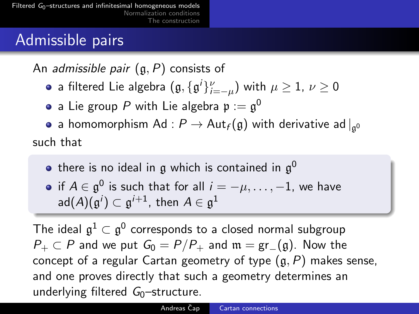# Admissible pairs

An *admissible pair*  $(g, P)$  consists of

- a filtered Lie algebra  $(\mathfrak{g}, \{\mathfrak{g}^i\}_{i=-\mu}^\nu)$  with  $\mu\geq 1$ ,  $\nu\geq 0$
- a Lie group  $P$  with Lie algebra  $\mathfrak{p}:=\mathfrak{g}^0$

a homomorphism Ad :  $P \rightarrow \mathsf{Aut}_f(\mathfrak{g})$  with derivative ad  $|_{\mathfrak{g}^0}$ such that

- there is no ideal in  $\mathfrak g$  which is contained in  $\mathfrak g^0$
- if  $A\in\mathfrak{g}^0$  is such that for all  $i=-\mu,\ldots,-1$ , we have  $\mathsf{ad}(A)(\mathfrak{g}^i)\subset \mathfrak{g}^{i+1}$ , then  $A\in \mathfrak{g}^1$

The ideal  $\mathfrak{g}^1\subset\mathfrak{g}^0$  corresponds to a closed normal subgroup  $P_+ \subset P$  and we put  $G_0 = P/P_+$  and  $\mathfrak{m} = \text{gr}(\mathfrak{g})$ . Now the concept of a regular Cartan geometry of type  $(g, P)$  makes sense, and one proves directly that such a geometry determines an underlying filtered  $G_0$ -structure.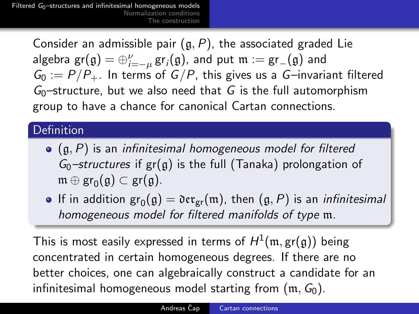> Consider an admissible pair  $(g, P)$ , the associated graded Lie  $\mathsf{algebra}\; \mathsf{gr}(\mathfrak{g})=\oplus_{i=-\mu}^{\nu} \mathsf{gr}_i(\mathfrak{g}),$  and  $\mathsf{put}\; \mathfrak{m}:=\mathsf{gr}_{-}(\mathfrak{g})$  and  $G_0 := P/P_+$ . In terms of  $G/P$ , this gives us a G-invariant filtered  $G<sub>0</sub>$ -structure, but we also need that G is the full automorphism group to have a chance for canonical Cartan connections.

### Definition

- $\bullet$  (g, P) is an infinitesimal homogeneous model for filtered  $G_0$ -structures if  $gr(g)$  is the full (Tanaka) prolongation of  $\mathfrak{m} \oplus \operatorname{gr}_0(\mathfrak{g}) \subset \operatorname{gr}(\mathfrak{g}).$
- If in addition  $\text{gr}_0(\mathfrak{g}) = \mathfrak{der}_{\text{gr}}(\mathfrak{m})$ , then  $(\mathfrak{g}, P)$  is an *infinitesimal* homogeneous model for filtered manifolds of type m.

This is most easily expressed in terms of  $H^1(\mathfrak{m},\operatorname{gr}(\mathfrak{g}))$  being concentrated in certain homogeneous degrees. If there are no better choices, one can algebraically construct a candidate for an infinitesimal homogeneous model starting from  $(m, G_0)$ .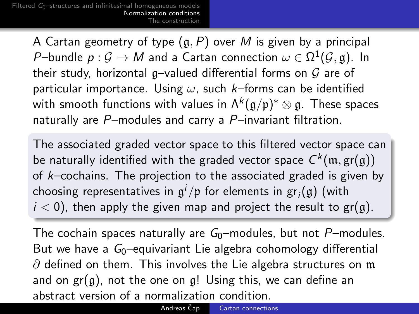> <span id="page-10-0"></span>A Cartan geometry of type  $(g, P)$  over M is given by a principal P–bundle  $p:\mathcal{G}\to M$  and a Cartan connection  $\omega\in\Omega^1(\mathcal{G},\mathfrak{g}).$  In their study, horizontal g-valued differential forms on  $G$  are of particular importance. Using  $\omega$ , such k–forms can be identified with smooth functions with values in  $\Lambda^k(\mathfrak{g}/\mathfrak{p})^*\otimes\mathfrak{g}.$  These spaces naturally are P–modules and carry a P–invariant filtration.

The associated graded vector space to this filtered vector space can be naturally identified with the graded vector space  $\mathsf{C}^k(\mathfrak{m},\mathsf{gr}(\mathfrak{g}))$ of  $k$ –cochains. The projection to the associated graded is given by choosing representatives in  $\mathfrak{g}^i/\mathfrak{p}$  for elements in  $\operatorname{\sf gr}_{i}(\mathfrak{g})$  (with  $i < 0$ ), then apply the given map and project the result to gr(g).

The cochain spaces naturally are  $G_0$ –modules, but not P–modules. But we have a  $G_0$ -equivariant Lie algebra cohomology differential  $\partial$  defined on them. This involves the Lie algebra structures on m and on  $gr(g)$ , not the one on g! Using this, we can define an abstract version of a normalization condition.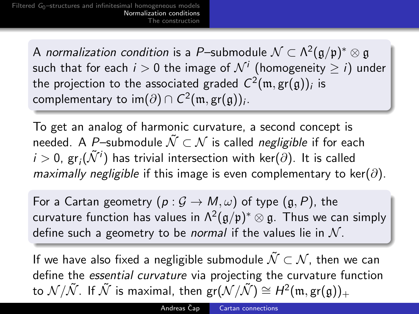A *normalization condition* is a P–submodule  $\mathcal{N} \subset \Lambda^2(\mathfrak{g}/\mathfrak{p})^* \otimes \mathfrak{g}$ such that for each  $i>0$  the image of  $\mathcal{N}^i$  (homogeneity  $\geq i)$  under the projection to the associated graded  $\mathsf{C}^2(\mathfrak{m},\operatorname{\mathsf{gr}}(\mathfrak{g}))_i$  is complementary to im $(\partial) \cap \mathcal{C}^2(\mathfrak{m},\operatorname{\sf gr}(\mathfrak{g}))_i.$ 

To get an analog of harmonic curvature, a second concept is needed. A P–submodule  $\tilde{\mathcal{N}} \subset \mathcal{N}$  is called *negligible* if for each  $i>0$ , gr $_i(\tilde{\mathcal{N}}^i)$  has trivial intersection with ker $(\partial).$  It is called maximally negligible if this image is even complementary to ker( $\partial$ ).

For a Cartan geometry  $(p: \mathcal{G} \to M, \omega)$  of type  $(\mathfrak{g}, P)$ , the curvature function has values in  $\Lambda^2(\mathfrak{g}/\mathfrak{p})^*\otimes\mathfrak{g}$ . Thus we can simply define such a geometry to be *normal* if the values lie in  $\mathcal{N}$ .

If we have also fixed a negligible submodule  $\tilde{\mathcal{N}} \subset \mathcal{N}$ , then we can define the essential curvature via projecting the curvature function to  $\mathcal{N}/\tilde{\mathcal{N}}$ . If  $\tilde{\mathcal{N}}$  is maximal, then  $\mathsf{gr}(\mathcal{N}/\tilde{\mathcal{N}}) \cong H^2(\mathfrak{m}, \mathsf{gr}(\mathfrak{g}))_+$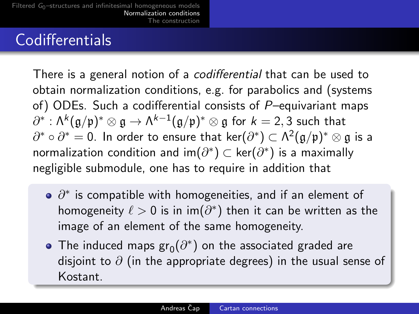## Codifferentials

There is a general notion of a codifferential that can be used to obtain normalization conditions, e.g. for parabolics and (systems of) ODEs. Such a codifferential consists of  $P$ –equivariant maps  $\partial^*:\mathsf{\Lambda}^k(\mathfrak{g}/\mathfrak{p})^*\otimes\mathfrak{g}\to \mathsf{\Lambda}^{k-1}(\mathfrak{g}/\mathfrak{p})^*\otimes\mathfrak{g}$  for  $k=2,3$  such that  $\partial^*\circ\partial^*=0.$  In order to ensure that  $\mathsf{ker}(\partial^*)\subset\Lambda^2(\mathfrak{g}/\mathfrak{p})^*\otimes\mathfrak{g}$  is a normalization condition and im $(\partial^*)$   $\subset$  ker $(\partial^*)$  is a maximally negligible submodule, one has to require in addition that

- $\partial^*$  is compatible with homogeneities, and if an element of homogeneity  $\ell > 0$  is in im $(\partial^*)$  then it can be written as the image of an element of the same homogeneity.
- The induced maps  $\text{gr}_0(\partial^*)$  on the associated graded are disjoint to  $\partial$  (in the appropriate degrees) in the usual sense of Kostant.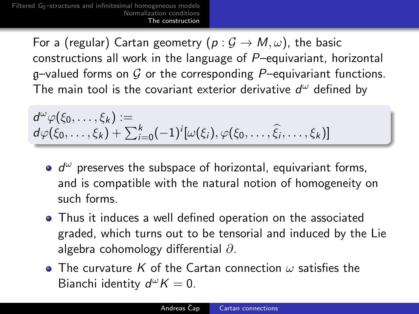> <span id="page-13-0"></span>For a (regular) Cartan geometry  $(p: \mathcal{G} \to M, \omega)$ , the basic constructions all work in the language of P–equivariant, horizontal g–valued forms on  $G$  or the corresponding P–equivariant functions. The main tool is the covariant exterior derivative  $d^{\omega}$  defined by

$$
d^{\omega}\varphi(\xi_0,\ldots,\xi_k):=\\d\varphi(\xi_0,\ldots,\xi_k)+\sum_{i=0}^k(-1)^i[\omega(\xi_i),\varphi(\xi_0,\ldots,\widehat{\xi_i},\ldots,\xi_k)]
$$

- $d^{\omega}$  preserves the subspace of horizontal, equivariant forms, and is compatible with the natural notion of homogeneity on such forms.
- Thus it induces a well defined operation on the associated graded, which turns out to be tensorial and induced by the Lie algebra cohomology differential ∂.
- $\bullet$  The curvature K of the Cartan connection  $\omega$  satisfies the Bianchi identity  $d^{\omega}K = 0$ .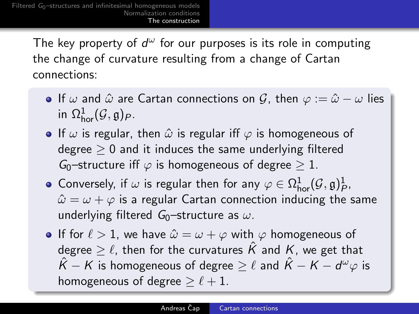> The key property of  $d^{\omega}$  for our purposes is its role in computing the change of curvature resulting from a change of Cartan connections:

- If  $\omega$  and  $\hat{\omega}$  are Cartan connections on  $\mathcal{G}$ , then  $\varphi := \hat{\omega} \omega$  lies in  $\Omega^1_{\text{hor}}(\mathcal G,\mathfrak g)_P$ .
- **If**  $\omega$  is regular, then  $\hat{\omega}$  is regular iff  $\varphi$  is homogeneous of degree  $> 0$  and it induces the same underlying filtered G<sub>0</sub>–structure iff  $\varphi$  is homogeneous of degree  $\geq 1$ .
- Conversely, if  $\omega$  is regular then for any  $\varphi \in \Omega^1_{\text{hor}}(\mathcal G, \mathfrak g)^1_{P}$ ,  $\hat{\omega} = \omega + \varphi$  is a regular Cartan connection inducing the same underlying filtered  $G_0$ -structure as  $\omega$ .
- If for  $\ell > 1$ , we have  $\hat{\omega} = \omega + \varphi$  with  $\varphi$  homogeneous of degree  $\geq \ell$ , then for the curvatures  $\hat{K}$  and K, we get that  $\hat{K} - K$  is homogeneous of degree  $\geq \ell$  and  $\hat{K} - K - d^\omega \varphi$  is homogeneous of degree  $\geq \ell + 1$ .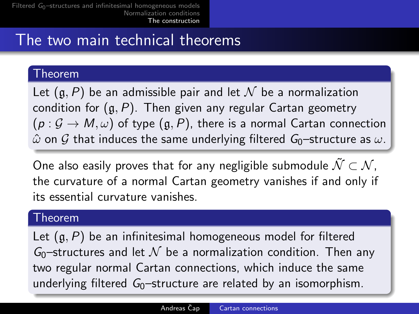# The two main technical theorems

### Theorem

Let  $(a, P)$  be an admissible pair and let N be a normalization condition for  $(g, P)$ . Then given any regular Cartan geometry  $(p: \mathcal{G} \to M, \omega)$  of type  $(q, P)$ , there is a normal Cartan connection  $\hat{\omega}$  on G that induces the same underlying filtered G<sub>0</sub>–structure as  $\omega$ .

One also easily proves that for any negligible submodule  $\tilde{\mathcal{N}} \subset \mathcal{N}$ . the curvature of a normal Cartan geometry vanishes if and only if its essential curvature vanishes.

#### Theorem

Let  $(g, P)$  be an infinitesimal homogeneous model for filtered  $G_0$ -structures and let  $\mathcal N$  be a normalization condition. Then any two regular normal Cartan connections, which induce the same underlying filtered  $G_0$ -structure are related by an isomorphism.